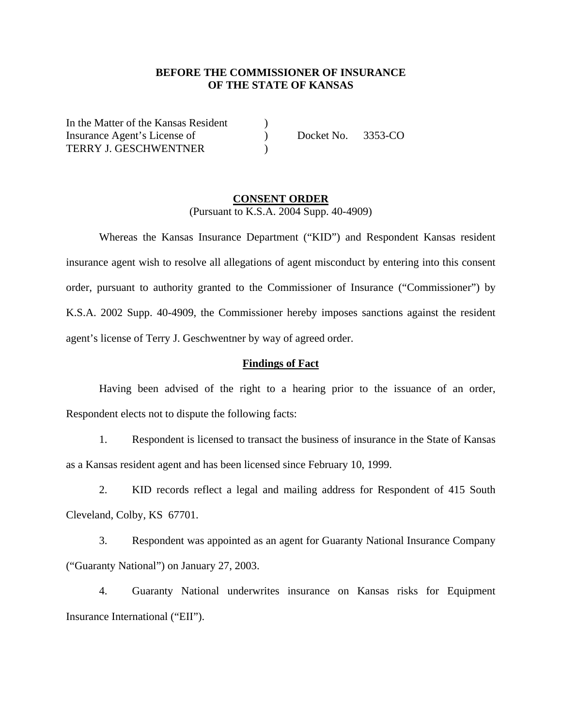## **BEFORE THE COMMISSIONER OF INSURANCE OF THE STATE OF KANSAS**

In the Matter of the Kansas Resident ) Insurance Agent's License of  $Docket No. 3353-CO$ TERRY J. GESCHWENTNER )

### **CONSENT ORDER** (Pursuant to K.S.A. 2004 Supp. 40-4909)

Whereas the Kansas Insurance Department ("KID") and Respondent Kansas resident insurance agent wish to resolve all allegations of agent misconduct by entering into this consent order, pursuant to authority granted to the Commissioner of Insurance ("Commissioner") by K.S.A. 2002 Supp. 40-4909, the Commissioner hereby imposes sanctions against the resident agent's license of Terry J. Geschwentner by way of agreed order.

#### **Findings of Fact**

Having been advised of the right to a hearing prior to the issuance of an order, Respondent elects not to dispute the following facts:

1. Respondent is licensed to transact the business of insurance in the State of Kansas as a Kansas resident agent and has been licensed since February 10, 1999.

2. KID records reflect a legal and mailing address for Respondent of 415 South Cleveland, Colby, KS 67701.

3. Respondent was appointed as an agent for Guaranty National Insurance Company ("Guaranty National") on January 27, 2003.

4. Guaranty National underwrites insurance on Kansas risks for Equipment Insurance International ("EII").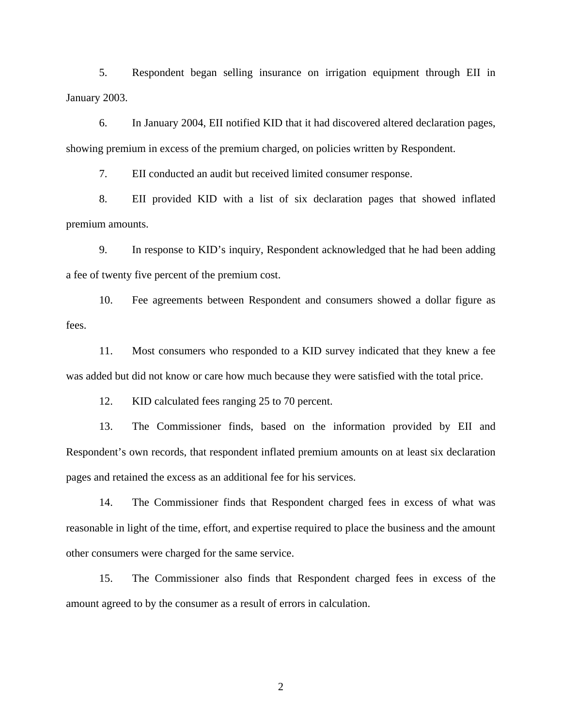5. Respondent began selling insurance on irrigation equipment through EII in January 2003.

6. In January 2004, EII notified KID that it had discovered altered declaration pages, showing premium in excess of the premium charged, on policies written by Respondent.

7. EII conducted an audit but received limited consumer response.

8. EII provided KID with a list of six declaration pages that showed inflated premium amounts.

9. In response to KID's inquiry, Respondent acknowledged that he had been adding a fee of twenty five percent of the premium cost.

10. Fee agreements between Respondent and consumers showed a dollar figure as fees.

11. Most consumers who responded to a KID survey indicated that they knew a fee was added but did not know or care how much because they were satisfied with the total price.

12. KID calculated fees ranging 25 to 70 percent.

13. The Commissioner finds, based on the information provided by EII and Respondent's own records, that respondent inflated premium amounts on at least six declaration pages and retained the excess as an additional fee for his services.

14. The Commissioner finds that Respondent charged fees in excess of what was reasonable in light of the time, effort, and expertise required to place the business and the amount other consumers were charged for the same service.

15. The Commissioner also finds that Respondent charged fees in excess of the amount agreed to by the consumer as a result of errors in calculation.

2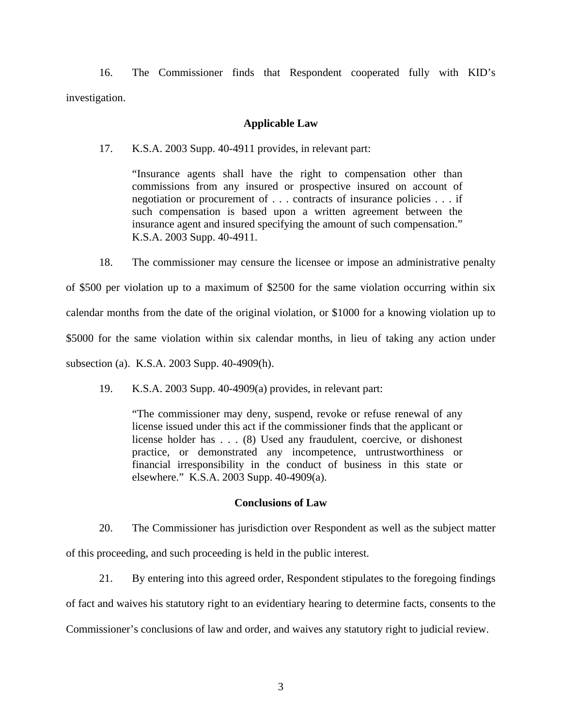16. The Commissioner finds that Respondent cooperated fully with KID's investigation.

### **Applicable Law**

17. K.S.A. 2003 Supp. 40-4911 provides, in relevant part:

"Insurance agents shall have the right to compensation other than commissions from any insured or prospective insured on account of negotiation or procurement of . . . contracts of insurance policies . . . if such compensation is based upon a written agreement between the insurance agent and insured specifying the amount of such compensation." K.S.A. 2003 Supp. 40-4911.

18. The commissioner may censure the licensee or impose an administrative penalty

of \$500 per violation up to a maximum of \$2500 for the same violation occurring within six calendar months from the date of the original violation, or \$1000 for a knowing violation up to \$5000 for the same violation within six calendar months, in lieu of taking any action under subsection (a). K.S.A. 2003 Supp. 40-4909(h).

19. K.S.A. 2003 Supp. 40-4909(a) provides, in relevant part:

"The commissioner may deny, suspend, revoke or refuse renewal of any license issued under this act if the commissioner finds that the applicant or license holder has . . . (8) Used any fraudulent, coercive, or dishonest practice, or demonstrated any incompetence, untrustworthiness or financial irresponsibility in the conduct of business in this state or elsewhere." K.S.A. 2003 Supp. 40-4909(a).

#### **Conclusions of Law**

20. The Commissioner has jurisdiction over Respondent as well as the subject matter of this proceeding, and such proceeding is held in the public interest.

21. By entering into this agreed order, Respondent stipulates to the foregoing findings of fact and waives his statutory right to an evidentiary hearing to determine facts, consents to the Commissioner's conclusions of law and order, and waives any statutory right to judicial review.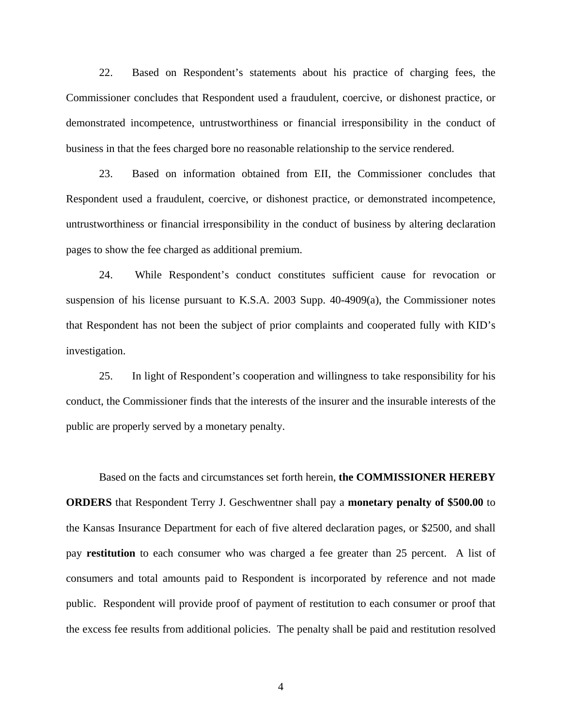22. Based on Respondent's statements about his practice of charging fees, the Commissioner concludes that Respondent used a fraudulent, coercive, or dishonest practice, or demonstrated incompetence, untrustworthiness or financial irresponsibility in the conduct of business in that the fees charged bore no reasonable relationship to the service rendered.

23. Based on information obtained from EII, the Commissioner concludes that Respondent used a fraudulent, coercive, or dishonest practice, or demonstrated incompetence, untrustworthiness or financial irresponsibility in the conduct of business by altering declaration pages to show the fee charged as additional premium.

24. While Respondent's conduct constitutes sufficient cause for revocation or suspension of his license pursuant to K.S.A. 2003 Supp. 40-4909(a), the Commissioner notes that Respondent has not been the subject of prior complaints and cooperated fully with KID's investigation.

25. In light of Respondent's cooperation and willingness to take responsibility for his conduct, the Commissioner finds that the interests of the insurer and the insurable interests of the public are properly served by a monetary penalty.

Based on the facts and circumstances set forth herein, **the COMMISSIONER HEREBY ORDERS** that Respondent Terry J. Geschwentner shall pay a **monetary penalty of \$500.00** to the Kansas Insurance Department for each of five altered declaration pages, or \$2500, and shall pay **restitution** to each consumer who was charged a fee greater than 25 percent. A list of consumers and total amounts paid to Respondent is incorporated by reference and not made public. Respondent will provide proof of payment of restitution to each consumer or proof that the excess fee results from additional policies. The penalty shall be paid and restitution resolved